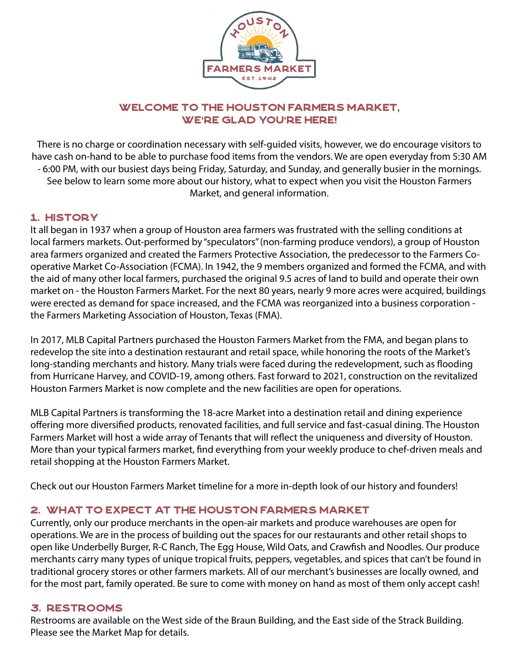

## Welcome to the Houston Farmers Market, WE'RE GLAD YOU'RE HERE!

There is no charge or coordination necessary with self-guided visits, however, we do encourage visitors to have cash on-hand to be able to purchase food items from the vendors. We are open everyday from 5:30 AM - 6:00 PM, with our busiest days being Friday, Saturday, and Sunday, and generally busier in the mornings. See below to learn some more about our history, what to expect when you visit the Houston Farmers Market, and general information.

## 1. HISTORY

It all began in 1937 when a group of Houston area farmers was frustrated with the selling conditions at local farmers markets. Out-performed by "speculators" (non-farming produce vendors), a group of Houston area farmers organized and created the Farmers Protective Association, the predecessor to the Farmers Cooperative Market Co-Association (FCMA). In 1942, the 9 members organized and formed the FCMA, and with the aid of many other local farmers, purchased the original 9.5 acres of land to build and operate their own market on - the Houston Farmers Market. For the next 80 years, nearly 9 more acres were acquired, buildings were erected as demand for space increased, and the FCMA was reorganized into a business corporation the Farmers Marketing Association of Houston, Texas (FMA).

In 2017, MLB Capital Partners purchased the Houston Farmers Market from the FMA, and began plans to redevelop the site into a destination restaurant and retail space, while honoring the roots of the Market's long-standing merchants and history. Many trials were faced during the redevelopment, such as flooding from Hurricane Harvey, and COVID-19, among others. Fast forward to 2021, construction on the revitalized Houston Farmers Market is now complete and the new facilities are open for operations.

MLB Capital Partners is transforming the 18-acre Market into a destination retail and dining experience offering more diversified products, renovated facilities, and full service and fast-casual dining. The Houston Farmers Market will host a wide array of Tenants that will reflect the uniqueness and diversity of Houston. More than your typical farmers market, find everything from your weekly produce to chef-driven meals and retail shopping at the Houston Farmers Market.

Check out our Houston Farmers Market timeline for a more in-depth look of our history and founders!

## 2. WHAT TO EXPECT AT THE HOUSTON FARMERS MARKET

Currently, only our produce merchants in the open-air markets and produce warehouses are open for operations. We are in the process of building out the spaces for our restaurants and other retail shops to open like Underbelly Burger, R-C Ranch, The Egg House, Wild Oats, and Crawfish and Noodles. Our produce merchants carry many types of unique tropical fruits, peppers, vegetables, and spices that can't be found in traditional grocery stores or other farmers markets. All of our merchant's businesses are locally owned, and for the most part, family operated. Be sure to come with money on hand as most of them only accept cash!

### 3. RESTROOMS

Restrooms are available on the West side of the Braun Building, and the East side of the Strack Building. Please see the Market Map for details.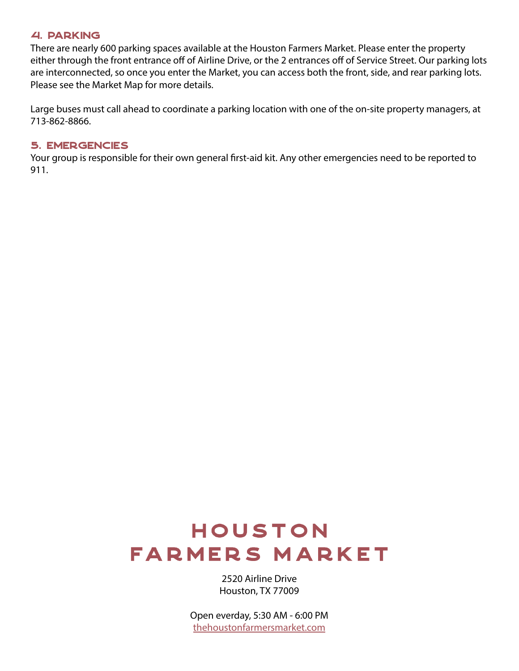#### 4. PARKING

There are nearly 600 parking spaces available at the Houston Farmers Market. Please enter the property either through the front entrance off of Airline Drive, or the 2 entrances off of Service Street. Our parking lots are interconnected, so once you enter the Market, you can access both the front, side, and rear parking lots. Please see the Market Map for more details.

Large buses must call ahead to coordinate a parking location with one of the on-site property managers, at 713-862-8866.

#### 5. EMERGENCIES

Your group is responsible for their own general first-aid kit. Any other emergencies need to be reported to 911.

# **HOUSTON FARMERS MARKET**

2520 Airline Drive Houston, TX 77009

Open everday, 5:30 AM - 6:00 PM [thehoustonfarmersmarket.com](http://thehoustonfarmersmarket.com )